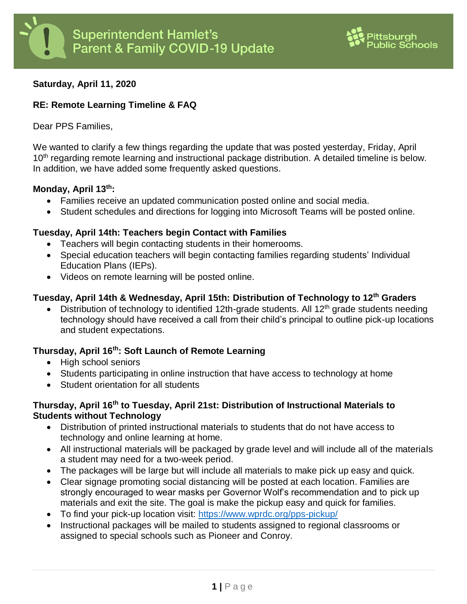

# **Saturday, April 11, 2020**

# **RE: Remote Learning Timeline & FAQ**

Dear PPS Families,

We wanted to clarify a few things regarding the update that was posted yesterday, Friday, April 10<sup>th</sup> regarding remote learning and instructional package distribution. A detailed timeline is below. In addition, we have added some frequently asked questions.

### **Monday, April 13th:**

- Families receive an updated communication posted online and social media.
- Student schedules and directions for logging into Microsoft Teams will be posted online.

## **Tuesday, April 14th: Teachers begin Contact with Families**

- Teachers will begin contacting students in their homerooms.
- Special education teachers will begin contacting families regarding students' Individual Education Plans (IEPs).
- Videos on remote learning will be posted online.

# **Tuesday, April 14th & Wednesday, April 15th: Distribution of Technology to 12th Graders**

• Distribution of technology to identified 12th-grade students. All  $12<sup>th</sup>$  grade students needing technology should have received a call from their child's principal to outline pick-up locations and student expectations.

# **Thursday, April 16th: Soft Launch of Remote Learning**

- High school seniors
- Students participating in online instruction that have access to technology at home
- Student orientation for all students

# **Thursday, April 16th to Tuesday, April 21st: Distribution of Instructional Materials to Students without Technology**

- Distribution of printed instructional materials to students that do not have access to technology and online learning at home.
- All instructional materials will be packaged by grade level and will include all of the materials a student may need for a two-week period.
- The packages will be large but will include all materials to make pick up easy and quick.
- Clear signage promoting social distancing will be posted at each location. Families are strongly encouraged to wear masks per Governor Wolf's recommendation and to pick up materials and exit the site. The goal is make the pickup easy and quick for families.
- To find your pick-up location visit:<https://www.wprdc.org/pps-pickup/>
- Instructional packages will be mailed to students assigned to regional classrooms or assigned to special schools such as Pioneer and Conroy.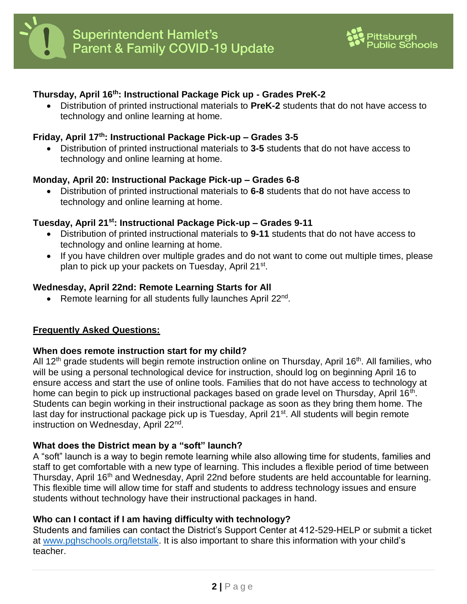

# **Thursday, April 16th: Instructional Package Pick up - Grades PreK-2**

 Distribution of printed instructional materials to **PreK-2** students that do not have access to technology and online learning at home.

## **Friday, April 17th: Instructional Package Pick-up – Grades 3-5**

 Distribution of printed instructional materials to **3-5** students that do not have access to technology and online learning at home.

#### **Monday, April 20: Instructional Package Pick-up – Grades 6-8**

 Distribution of printed instructional materials to **6-8** students that do not have access to technology and online learning at home.

#### **Tuesday, April 21st: Instructional Package Pick-up – Grades 9-11**

- Distribution of printed instructional materials to **9-11** students that do not have access to technology and online learning at home.
- If you have children over multiple grades and do not want to come out multiple times, please plan to pick up your packets on Tuesday, April 21<sup>st</sup>.

#### **Wednesday, April 22nd: Remote Learning Starts for All**

• Remote learning for all students fully launches April 22<sup>nd</sup>.

### **Frequently Asked Questions:**

#### **When does remote instruction start for my child?**

All 12<sup>th</sup> grade students will begin remote instruction online on Thursday, April 16<sup>th</sup>. All families, who will be using a personal technological device for instruction, should log on beginning April 16 to ensure access and start the use of online tools. Families that do not have access to technology at home can begin to pick up instructional packages based on grade level on Thursday, April 16<sup>th</sup>. Students can begin working in their instructional package as soon as they bring them home. The last day for instructional package pick up is Tuesday, April 21<sup>st</sup>. All students will begin remote instruction on Wednesday, April 22<sup>nd</sup>.

### **What does the District mean by a "soft" launch?**

A "soft" launch is a way to begin remote learning while also allowing time for students, families and staff to get comfortable with a new type of learning. This includes a flexible period of time between Thursday, April 16<sup>th</sup> and Wednesday, April 22nd before students are held accountable for learning. This flexible time will allow time for staff and students to address technology issues and ensure students without technology have their instructional packages in hand.

### **Who can I contact if I am having difficulty with technology?**

Students and families can contact the District's Support Center at 412-529-HELP or submit a ticket at [www.pghschools.org/letstalk.](http://www.pghschools.org/letstalk) It is also important to share this information with your child's teacher.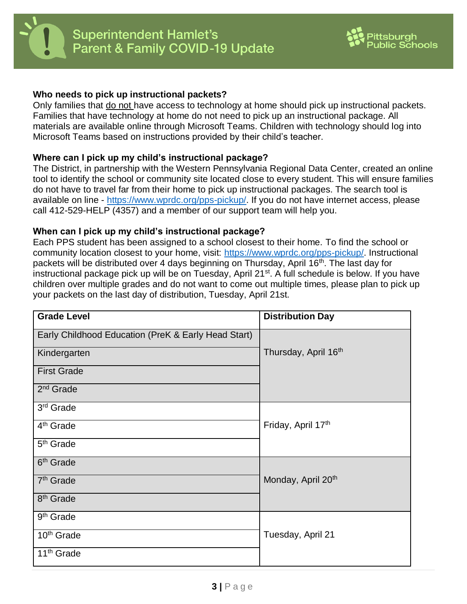



### **Who needs to pick up instructional packets?**

Only families that do not have access to technology at home should pick up instructional packets. Families that have technology at home do not need to pick up an instructional package. All materials are available online through Microsoft Teams. Children with technology should log into Microsoft Teams based on instructions provided by their child's teacher.

### **Where can I pick up my child's instructional package?**

The District, in partnership with the Western Pennsylvania Regional Data Center, created an online tool to identify the school or community site located close to every student. This will ensure families do not have to travel far from their home to pick up instructional packages. The search tool is available on line - [https://www.wprdc.org/pps-pickup/.](https://www.wprdc.org/pps-pickup/) If you do not have internet access, please call 412-529-HELP (4357) and a member of our support team will help you.

### **When can I pick up my child's instructional package?**

Each PPS student has been assigned to a school closest to their home. To find the school or community location closest to your home, visit: [https://www.wprdc.org/pps-pickup/.](https://www.wprdc.org/pps-pickup/) Instructional packets will be distributed over 4 days beginning on Thursday, April 16<sup>th</sup>. The last day for instructional package pick up will be on Tuesday, April 21<sup>st</sup>. A full schedule is below. If you have children over multiple grades and do not want to come out multiple times, please plan to pick up your packets on the last day of distribution, Tuesday, April 21st.

| <b>Grade Level</b>                                  | <b>Distribution Day</b>          |
|-----------------------------------------------------|----------------------------------|
| Early Childhood Education (PreK & Early Head Start) |                                  |
| Kindergarten                                        | Thursday, April 16 <sup>th</sup> |
| <b>First Grade</b>                                  |                                  |
| 2 <sup>nd</sup> Grade                               |                                  |
| 3 <sup>rd</sup> Grade                               |                                  |
| 4 <sup>th</sup> Grade                               | Friday, April 17th               |
| 5 <sup>th</sup> Grade                               |                                  |
| 6 <sup>th</sup> Grade                               |                                  |
| 7 <sup>th</sup> Grade                               | Monday, April 20 <sup>th</sup>   |
| 8 <sup>th</sup> Grade                               |                                  |
| 9 <sup>th</sup> Grade                               |                                  |
| 10 <sup>th</sup> Grade                              | Tuesday, April 21                |
| 11 <sup>th</sup> Grade                              |                                  |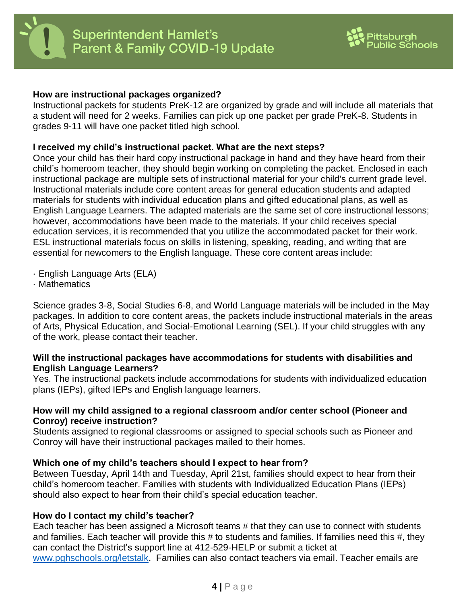



### **How are instructional packages organized?**

Instructional packets for students PreK-12 are organized by grade and will include all materials that a student will need for 2 weeks. Families can pick up one packet per grade PreK-8. Students in grades 9-11 will have one packet titled high school.

### **I received my child's instructional packet. What are the next steps?**

Once your child has their hard copy instructional package in hand and they have heard from their child's homeroom teacher, they should begin working on completing the packet. Enclosed in each instructional package are multiple sets of instructional material for your child's current grade level. Instructional materials include core content areas for general education students and adapted materials for students with individual education plans and gifted educational plans, as well as English Language Learners. The adapted materials are the same set of core instructional lessons; however, accommodations have been made to the materials. If your child receives special education services, it is recommended that you utilize the accommodated packet for their work. ESL instructional materials focus on skills in listening, speaking, reading, and writing that are essential for newcomers to the English language. These core content areas include:

- · English Language Arts (ELA)
- · Mathematics

Science grades 3-8, Social Studies 6-8, and World Language materials will be included in the May packages. In addition to core content areas, the packets include instructional materials in the areas of Arts, Physical Education, and Social-Emotional Learning (SEL). If your child struggles with any of the work, please contact their teacher.

### **Will the instructional packages have accommodations for students with disabilities and English Language Learners?**

Yes. The instructional packets include accommodations for students with individualized education plans (IEPs), gifted IEPs and English language learners.

### **How will my child assigned to a regional classroom and/or center school (Pioneer and Conroy) receive instruction?**

Students assigned to regional classrooms or assigned to special schools such as Pioneer and Conroy will have their instructional packages mailed to their homes.

# **Which one of my child's teachers should I expect to hear from?**

Between Tuesday, April 14th and Tuesday, April 21st, families should expect to hear from their child's homeroom teacher. Families with students with Individualized Education Plans (IEPs) should also expect to hear from their child's special education teacher.

### **How do I contact my child's teacher?**

Each teacher has been assigned a Microsoft teams # that they can use to connect with students and families. Each teacher will provide this # to students and families. If families need this #, they can contact the District's support line at 412-529-HELP or submit a ticket at [www.pghschools.org/letstalk.](http://www.pghschools.org/letstalk) Families can also contact teachers via email. Teacher emails are